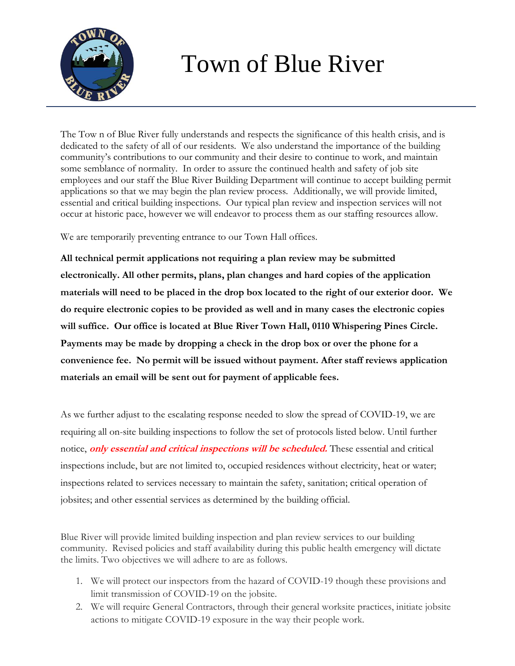

## Town of Blue River

The Tow n of Blue River fully understands and respects the significance of this health crisis, and is dedicated to the safety of all of our residents. We also understand the importance of the building community's contributions to our community and their desire to continue to work, and maintain some semblance of normality. In order to assure the continued health and safety of job site employees and our staff the Blue River Building Department will continue to accept building permit applications so that we may begin the plan review process. Additionally, we will provide limited, essential and critical building inspections. Our typical plan review and inspection services will not occur at historic pace, however we will endeavor to process them as our staffing resources allow.

We are temporarily preventing entrance to our Town Hall offices.

**All technical permit applications not requiring a plan review may be submitted electronically. All other permits, plans, plan changes and hard copies of the application materials will need to be placed in the drop box located to the right of our exterior door. We do require electronic copies to be provided as well and in many cases the electronic copies will suffice. Our office is located at Blue River Town Hall, 0110 Whispering Pines Circle. Payments may be made by dropping a check in the drop box or over the phone for a convenience fee. No permit will be issued without payment. After staff reviews application materials an email will be sent out for payment of applicable fees.** 

As we further adjust to the escalating response needed to slow the spread of COVID-19, we are requiring all on-site building inspections to follow the set of protocols listed below. Until further notice, **only essential and critical inspections will be scheduled.** These essential and critical inspections include, but are not limited to, occupied residences without electricity, heat or water; inspections related to services necessary to maintain the safety, sanitation; critical operation of jobsites; and other essential services as determined by the building official.

Blue River will provide limited building inspection and plan review services to our building community. Revised policies and staff availability during this public health emergency will dictate the limits. Two objectives we will adhere to are as follows.

- 1. We will protect our inspectors from the hazard of COVID-19 though these provisions and limit transmission of COVID-19 on the jobsite.
- 2. We will require General Contractors, through their general worksite practices, initiate jobsite actions to mitigate COVID-19 exposure in the way their people work.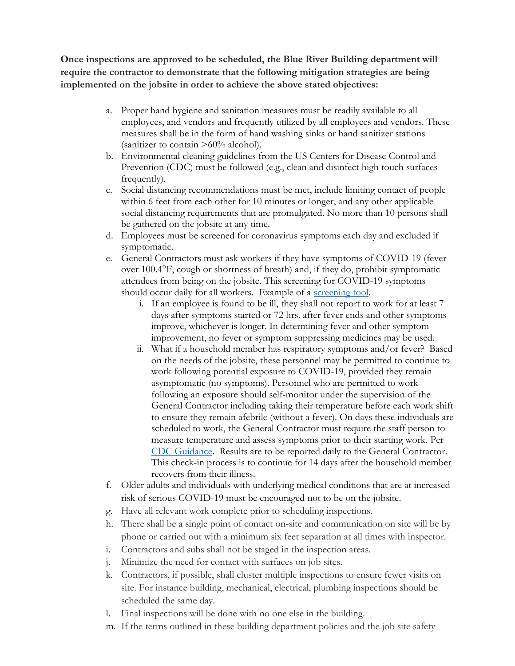**Once inspections are approved to be scheduled, the Blue River Building department will require the contractor to demonstrate that the following mitigation strategies are being implemented on the jobsite in order to achieve the above stated objectives:** 

- a. Proper hand hygiene and sanitation measures must be readily available to all employees, and vendors and frequently utilized by all employees and vendors. These measures shall be in the form of hand washing sinks or hand sanitizer stations (sanitizer to contain >60% alcohol).
- b. Environmental cleaning guidelines from the US Centers for Disease Control and Prevention (CDC) must be followed (e.g., clean and disinfect high touch surfaces frequently).
- c. Social distancing recommendations must be met, include limiting contact of people within 6 feet from each other for 10 minutes or longer, and any other applicable social distancing requirements that are promulgated. No more than 10 persons shall be gathered on the jobsite at any time.
- d. Employees must be screened for coronavirus symptoms each day and excluded if symptomatic.
- e. General Contractors must ask workers if they have symptoms of COVID-19 (fever over 100.4°F, cough or shortness of breath) and, if they do, prohibit symptomatic attendees from being on the jobsite. This screening for COVID-19 symptoms should occur daily for all workers. Example of a [screening tool.](https://drive.google.com/file/d/1-hhX1bpGe03718zdrxV-IIipdPdnW55-/view)
	- i. If an employee is found to be ill, they shall not report to work for at least 7 days after symptoms started or 72 hrs. after fever ends and other symptoms improve, whichever is longer. In determining fever and other symptom improvement, no fever or symptom suppressing medicines may be used.
	- ii. What if a household member has respiratory symptoms and/or fever? Based on the needs of the jobsite, these personnel may be permitted to continue to work following potential exposure to COVID-19, provided they remain asymptomatic (no symptoms). Personnel who are permitted to work following an exposure should self-monitor under the supervision of the General Contractor including taking their temperature before each work shift to ensure they remain afebrile (without a fever). On days these individuals are scheduled to work, the General Contractor must require the staff person to measure temperature and assess symptoms prior to their starting work. Per [CDC Guidance.](https://www.cdc.gov/coronavirus/2019-ncov/php/risk-assessment.html) Results are to be reported daily to the General Contractor. This check-in process is to continue for 14 days after the household member recovers from their illness.
- f. Older adults and individuals with underlying medical conditions that are at increased risk of serious COVID-19 must be encouraged not to be on the jobsite.
- g. Have all relevant work complete prior to scheduling inspections.
- h. There shall be a single point of contact on-site and communication on site will be by phone or carried out with a minimum six feet separation at all times with inspector.
- i. Contractors and subs shall not be staged in the inspection areas.
- j. Minimize the need for contact with surfaces on job sites.
- k. Contractors, if possible, shall cluster multiple inspections to ensure fewer visits on site. For instance building, mechanical, electrical, plumbing inspections should be scheduled the same day.
- l. Final inspections will be done with no one else in the building.
- m. If the terms outlined in these building department policies and the job site safety